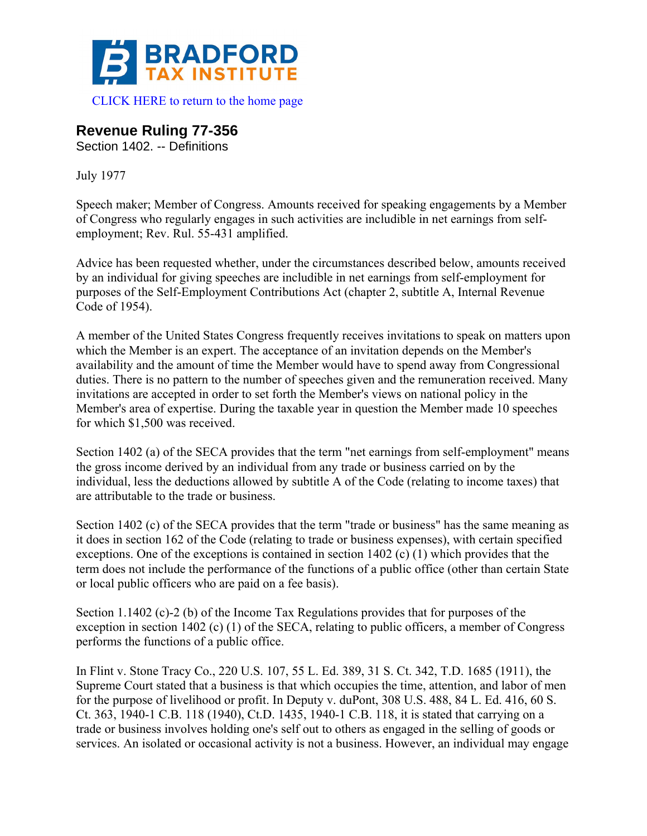

## **Revenue Ruling 77-356**

Section 1402. -- Definitions

July 1977

Speech maker; Member of Congress. Amounts received for speaking engagements by a Member of Congress who regularly engages in such activities are includible in net earnings from selfemployment; Rev. Rul. 55-431 amplified.

Advice has been requested whether, under the circumstances described below, amounts received by an individual for giving speeches are includible in net earnings from self-employment for purposes of the Self-Employment Contributions Act (chapter 2, subtitle A, Internal Revenue Code of 1954).

A member of the United States Congress frequently receives invitations to speak on matters upon which the Member is an expert. The acceptance of an invitation depends on the Member's availability and the amount of time the Member would have to spend away from Congressional duties. There is no pattern to the number of speeches given and the remuneration received. Many invitations are accepted in order to set forth the Member's views on national policy in the Member's area of expertise. During the taxable year in question the Member made 10 speeches for which \$1,500 was received.

Section 1402 (a) of the SECA provides that the term "net earnings from self-employment" means the gross income derived by an individual from any trade or business carried on by the individual, less the deductions allowed by subtitle A of the Code (relating to income taxes) that are attributable to the trade or business.

Section 1402 (c) of the SECA provides that the term "trade or business" has the same meaning as it does in section 162 of the Code (relating to trade or business expenses), with certain specified exceptions. One of the exceptions is contained in section 1402 (c) (1) which provides that the term does not include the performance of the functions of a public office (other than certain State or local public officers who are paid on a fee basis).

Section 1.1402 (c)-2 (b) of the Income Tax Regulations provides that for purposes of the exception in section 1402 (c) (1) of the SECA, relating to public officers, a member of Congress performs the functions of a public office.

In Flint v. Stone Tracy Co., 220 U.S. 107, 55 L. Ed. 389, 31 S. Ct. 342, T.D. 1685 (1911), the Supreme Court stated that a business is that which occupies the time, attention, and labor of men for the purpose of livelihood or profit. In Deputy v. duPont, 308 U.S. 488, 84 L. Ed. 416, 60 S. Ct. 363, 1940-1 C.B. 118 (1940), Ct.D. 1435, 1940-1 C.B. 118, it is stated that carrying on a trade or business involves holding one's self out to others as engaged in the selling of goods or services. An isolated or occasional activity is not a business. However, an individual may engage